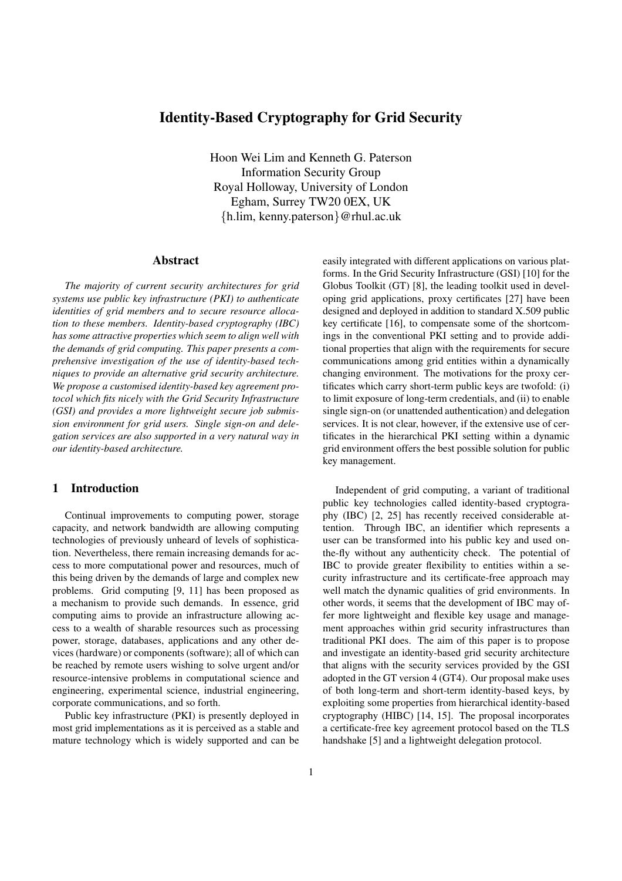# **Identity-Based Cryptography for Grid Security**

Hoon Wei Lim and Kenneth G. Paterson Information Security Group Royal Holloway, University of London Egham, Surrey TW20 0EX, UK {h.lim, kenny.paterson}@rhul.ac.uk

## **Abstract**

*The majority of current security architectures for grid systems use public key infrastructure (PKI) to authenticate identities of grid members and to secure resource allocation to these members. Identity-based cryptography (IBC) has some attractive properties which seem to align well with the demands of grid computing. This paper presents a comprehensive investigation of the use of identity-based techniques to provide an alternative grid security architecture. We propose a customised identity-based key agreement protocol which fits nicely with the Grid Security Infrastructure (GSI) and provides a more lightweight secure job submission environment for grid users. Single sign-on and delegation services are also supported in a very natural way in our identity-based architecture.*

# **1 Introduction**

Continual improvements to computing power, storage capacity, and network bandwidth are allowing computing technologies of previously unheard of levels of sophistication. Nevertheless, there remain increasing demands for access to more computational power and resources, much of this being driven by the demands of large and complex new problems. Grid computing [9, 11] has been proposed as a mechanism to provide such demands. In essence, grid computing aims to provide an infrastructure allowing access to a wealth of sharable resources such as processing power, storage, databases, applications and any other devices (hardware) or components (software); all of which can be reached by remote users wishing to solve urgent and/or resource-intensive problems in computational science and engineering, experimental science, industrial engineering, corporate communications, and so forth.

Public key infrastructure (PKI) is presently deployed in most grid implementations as it is perceived as a stable and mature technology which is widely supported and can be easily integrated with different applications on various platforms. In the Grid Security Infrastructure (GSI) [10] for the Globus Toolkit (GT) [8], the leading toolkit used in developing grid applications, proxy certificates [27] have been designed and deployed in addition to standard X.509 public key certificate [16], to compensate some of the shortcomings in the conventional PKI setting and to provide additional properties that align with the requirements for secure communications among grid entities within a dynamically changing environment. The motivations for the proxy certificates which carry short-term public keys are twofold: (i) to limit exposure of long-term credentials, and (ii) to enable single sign-on (or unattended authentication) and delegation services. It is not clear, however, if the extensive use of certificates in the hierarchical PKI setting within a dynamic grid environment offers the best possible solution for public key management.

Independent of grid computing, a variant of traditional public key technologies called identity-based cryptography (IBC) [2, 25] has recently received considerable attention. Through IBC, an identifier which represents a user can be transformed into his public key and used onthe-fly without any authenticity check. The potential of IBC to provide greater flexibility to entities within a security infrastructure and its certificate-free approach may well match the dynamic qualities of grid environments. In other words, it seems that the development of IBC may offer more lightweight and flexible key usage and management approaches within grid security infrastructures than traditional PKI does. The aim of this paper is to propose and investigate an identity-based grid security architecture that aligns with the security services provided by the GSI adopted in the GT version 4 (GT4). Our proposal make uses of both long-term and short-term identity-based keys, by exploiting some properties from hierarchical identity-based cryptography (HIBC) [14, 15]. The proposal incorporates a certificate-free key agreement protocol based on the TLS handshake [5] and a lightweight delegation protocol.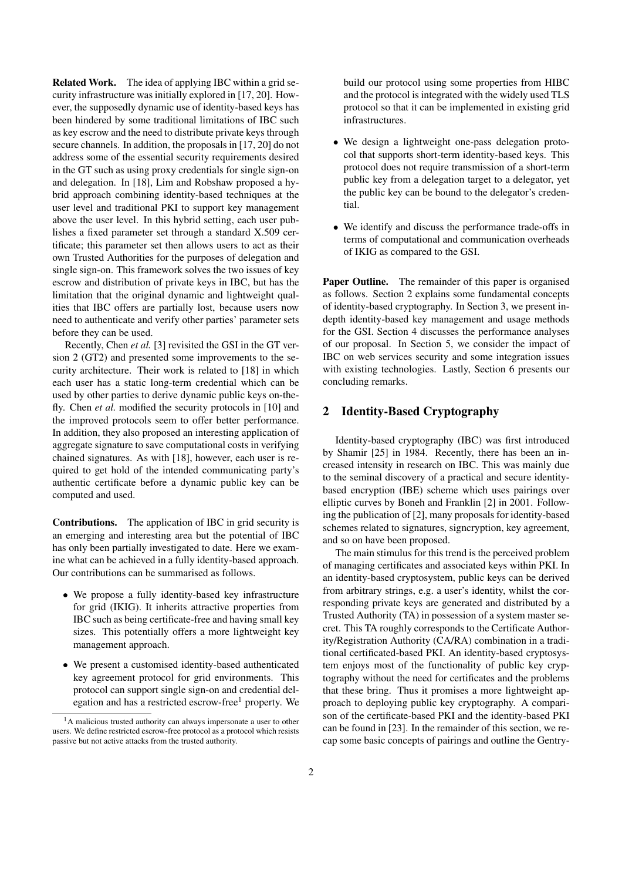**Related Work.** The idea of applying IBC within a grid security infrastructure was initially explored in [17, 20]. However, the supposedly dynamic use of identity-based keys has been hindered by some traditional limitations of IBC such as key escrow and the need to distribute private keys through secure channels. In addition, the proposals in [17, 20] do not address some of the essential security requirements desired in the GT such as using proxy credentials for single sign-on and delegation. In [18], Lim and Robshaw proposed a hybrid approach combining identity-based techniques at the user level and traditional PKI to support key management above the user level. In this hybrid setting, each user publishes a fixed parameter set through a standard X.509 certificate; this parameter set then allows users to act as their own Trusted Authorities for the purposes of delegation and single sign-on. This framework solves the two issues of key escrow and distribution of private keys in IBC, but has the limitation that the original dynamic and lightweight qualities that IBC offers are partially lost, because users now need to authenticate and verify other parties' parameter sets before they can be used.

Recently, Chen *et al.* [3] revisited the GSI in the GT version 2 (GT2) and presented some improvements to the security architecture. Their work is related to [18] in which each user has a static long-term credential which can be used by other parties to derive dynamic public keys on-thefly. Chen *et al.* modified the security protocols in [10] and the improved protocols seem to offer better performance. In addition, they also proposed an interesting application of aggregate signature to save computational costs in verifying chained signatures. As with [18], however, each user is required to get hold of the intended communicating party's authentic certificate before a dynamic public key can be computed and used.

**Contributions.** The application of IBC in grid security is an emerging and interesting area but the potential of IBC has only been partially investigated to date. Here we examine what can be achieved in a fully identity-based approach. Our contributions can be summarised as follows.

- We propose a fully identity-based key infrastructure for grid (IKIG). It inherits attractive properties from IBC such as being certificate-free and having small key sizes. This potentially offers a more lightweight key management approach.
- We present a customised identity-based authenticated key agreement protocol for grid environments. This protocol can support single sign-on and credential delegation and has a restricted escrow-free<sup>1</sup> property. We

build our protocol using some properties from HIBC and the protocol is integrated with the widely used TLS protocol so that it can be implemented in existing grid infrastructures.

- We design a lightweight one-pass delegation protocol that supports short-term identity-based keys. This protocol does not require transmission of a short-term public key from a delegation target to a delegator, yet the public key can be bound to the delegator's credential.
- We identify and discuss the performance trade-offs in terms of computational and communication overheads of IKIG as compared to the GSI.

**Paper Outline.** The remainder of this paper is organised as follows. Section 2 explains some fundamental concepts of identity-based cryptography. In Section 3, we present indepth identity-based key management and usage methods for the GSI. Section 4 discusses the performance analyses of our proposal. In Section 5, we consider the impact of IBC on web services security and some integration issues with existing technologies. Lastly, Section 6 presents our concluding remarks.

# **2 Identity-Based Cryptography**

Identity-based cryptography (IBC) was first introduced by Shamir [25] in 1984. Recently, there has been an increased intensity in research on IBC. This was mainly due to the seminal discovery of a practical and secure identitybased encryption (IBE) scheme which uses pairings over elliptic curves by Boneh and Franklin [2] in 2001. Following the publication of [2], many proposals for identity-based schemes related to signatures, signcryption, key agreement, and so on have been proposed.

The main stimulus for this trend is the perceived problem of managing certificates and associated keys within PKI. In an identity-based cryptosystem, public keys can be derived from arbitrary strings, e.g. a user's identity, whilst the corresponding private keys are generated and distributed by a Trusted Authority (TA) in possession of a system master secret. This TA roughly corresponds to the Certificate Authority/Registration Authority (CA/RA) combination in a traditional certificated-based PKI. An identity-based cryptosystem enjoys most of the functionality of public key cryptography without the need for certificates and the problems that these bring. Thus it promises a more lightweight approach to deploying public key cryptography. A comparison of the certificate-based PKI and the identity-based PKI can be found in [23]. In the remainder of this section, we recap some basic concepts of pairings and outline the Gentry-

 $<sup>1</sup>A$  malicious trusted authority can always impersonate a user to other</sup> users. We define restricted escrow-free protocol as a protocol which resists passive but not active attacks from the trusted authority.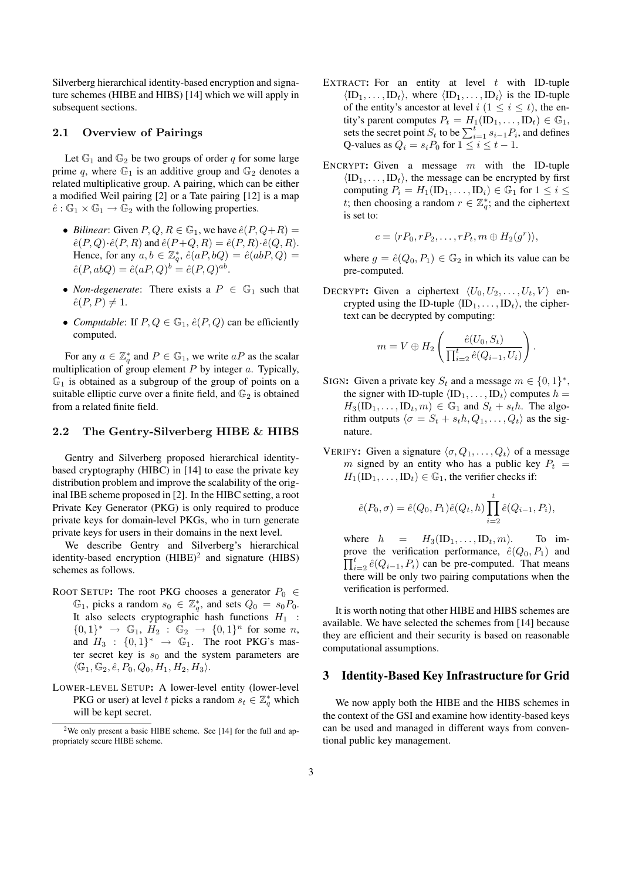Silverberg hierarchical identity-based encryption and signature schemes (HIBE and HIBS) [14] which we will apply in subsequent sections.

## 2.1 Overview of Pairings

Let  $\mathbb{G}_1$  and  $\mathbb{G}_2$  be two groups of order q for some large prime q, where  $\mathbb{G}_1$  is an additive group and  $\mathbb{G}_2$  denotes a related multiplicative group. A pairing, which can be either a modified Weil pairing [2] or a Tate pairing [12] is a map  $\hat{e}$ :  $\mathbb{G}_1 \times \mathbb{G}_1 \to \mathbb{G}_2$  with the following properties.

- *Bilinear*: Given  $P, Q, R \in \mathbb{G}_1$ , we have  $\hat{e}(P, Q + R) =$  $\hat{e}(P,Q) \cdot \hat{e}(P,R)$  and  $\hat{e}(P+Q,R) = \hat{e}(P,R) \cdot \hat{e}(Q,R)$ . Hence, for any  $a, b \in \mathbb{Z}_q^*$ ,  $\hat{e}(aP, bQ) = \hat{e}(abP, Q) =$  $\hat{e}(P, abQ) = \hat{e}(aP,Q)^b = \hat{e}(P,Q)^{ab}.$
- *Non-degenerate*: There exists a  $P \in \mathbb{G}_1$  such that  $\hat{e}(P, P) \neq 1.$
- *Computable*: If  $P, Q \in \mathbb{G}_1$ ,  $\hat{e}(P, Q)$  can be efficiently computed.

For any  $a \in \mathbb{Z}_q^*$  and  $P \in \mathbb{G}_1$ , we write  $aP$  as the scalar multiplication of group element  $P$  by integer  $a$ . Typically,  $\mathbb{G}_1$  is obtained as a subgroup of the group of points on a suitable elliptic curve over a finite field, and  $\mathbb{G}_2$  is obtained from a related finite field.

#### 2.2 The Gentry-Silverberg HIBE & HIBS

Gentry and Silverberg proposed hierarchical identitybased cryptography (HIBC) in [14] to ease the private key distribution problem and improve the scalability of the original IBE scheme proposed in [2]. In the HIBC setting, a root Private Key Generator (PKG) is only required to produce private keys for domain-level PKGs, who in turn generate private keys for users in their domains in the next level.

We describe Gentry and Silverberg's hierarchical identity-based encryption  $(HIBE)^2$  and signature (HIBS) schemes as follows.

- ROOT SETUP: The root PKG chooses a generator  $P_0 \in$  $\mathbb{G}_1$ , picks a random  $s_0 \in \mathbb{Z}_q^*$ , and sets  $Q_0 = s_0 P_0$ . It also selects cryptographic hash functions  $H_1$  :  $\{0,1\}^* \to \mathbb{G}_1, H_2 : \mathbb{G}_2 \to \{0,1\}^n$  for some n, and  $H_3$  :  $\{0,1\}^* \rightarrow \mathbb{G}_1$ . The root PKG's master secret key is  $s_0$  and the system parameters are  $\langle \mathbb{G}_1, \mathbb{G}_2, \hat{e}, P_0, Q_0, H_1, H_2, H_3 \rangle.$
- LOWER-LEVEL SETUP**:** A lower-level entity (lower-level PKG or user) at level t picks a random  $s_t \in \mathbb{Z}_q^*$  which will be kept secret.
- EXTRACT: For an entity at level  $t$  with ID-tuple  $\langle ID_1, \ldots, ID_t \rangle$ , where  $\langle ID_1, \ldots, ID_i \rangle$  is the ID-tuple of the entity's ancestor at level  $i$  ( $1 \le i \le t$ ), the entity's parent computes  $P_t = H_1(ID_1, \ldots, ID_t) \in \mathbb{G}_1$ , sets the secret point  $S_t$  to be  $\sum_{i=1}^t s_{i-1} P_i$ , and defines Q-values as  $Q_i = s_i P_0$  for  $1 \le i \le t - 1$ .
- ENCRYPT**:** Given a message m with the ID-tuple  $\langle ID_1, \ldots, ID_t \rangle$ , the message can be encrypted by first computing  $P_i = H_1(\mathbb{D}_1, \dots, \mathbb{D}_i) \in \mathbb{G}_1$  for  $1 \leq i \leq i$ t; then choosing a random  $r \in \mathbb{Z}_q^*$ ; and the ciphertext is set to:

$$
c = \langle rP_0, rP_2, \dots, rP_t, m \oplus H_2(g^r) \rangle,
$$

where  $g = \hat{e}(Q_0, P_1) \in \mathbb{G}_2$  in which its value can be pre-computed.

DECRYPT: Given a ciphertext  $\langle U_0, U_2, \ldots, U_t, V \rangle$  encrypted using the ID-tuple  $\langle \text{ID}_1, \ldots, \text{ID}_t \rangle$ , the ciphertext can be decrypted by computing:

$$
m = V \oplus H_2\left(\frac{\hat{e}(U_0, S_t)}{\prod_{i=2}^t \hat{e}(Q_{i-1}, U_i)}\right).
$$

- SIGN: Given a private key  $S_t$  and a message  $m \in \{0, 1\}^*$ , the signer with ID-tuple  $\langle \text{ID}_1, \ldots, \text{ID}_t \rangle$  computes  $h =$  $H_3(\mathbb{ID}_1, \ldots, \mathbb{ID}_t, m) \in \mathbb{G}_1$  and  $S_t + s_t h$ . The algorithm outputs  $\langle \sigma = S_t + s_t h, Q_1, \ldots, Q_t \rangle$  as the signature.
- VERIFY: Given a signature  $\langle \sigma, Q_1, \ldots, Q_t \rangle$  of a message m signed by an entity who has a public key  $P_t =$  $H_1(ID_1, \ldots, ID_t) \in \mathbb{G}_1$ , the verifier checks if:

$$
\widehat{e}(P_0,\sigma)=\widehat{e}(Q_0,P_1)\widehat{e}(Q_t,h)\prod_{i=2}^t\widehat{e}(Q_{i-1},P_i),
$$

where  $h = H_3(\mathbb{ID}_1, \ldots, \mathbb{ID}_t, m)$ . To improve the verification performance,  $\hat{e}(Q_0, P_1)$  and  $\prod_{i=2}^{t} \hat{e}(Q_{i-1}, P_i)$  can be pre-computed. That means there will be only two pairing computations when the verification is performed.

It is worth noting that other HIBE and HIBS schemes are available. We have selected the schemes from [14] because they are efficient and their security is based on reasonable computational assumptions.

#### **3 Identity-Based Key Infrastructure for Grid**

We now apply both the HIBE and the HIBS schemes in the context of the GSI and examine how identity-based keys can be used and managed in different ways from conventional public key management.

<sup>&</sup>lt;sup>2</sup>We only present a basic HIBE scheme. See [14] for the full and appropriately secure HIBE scheme.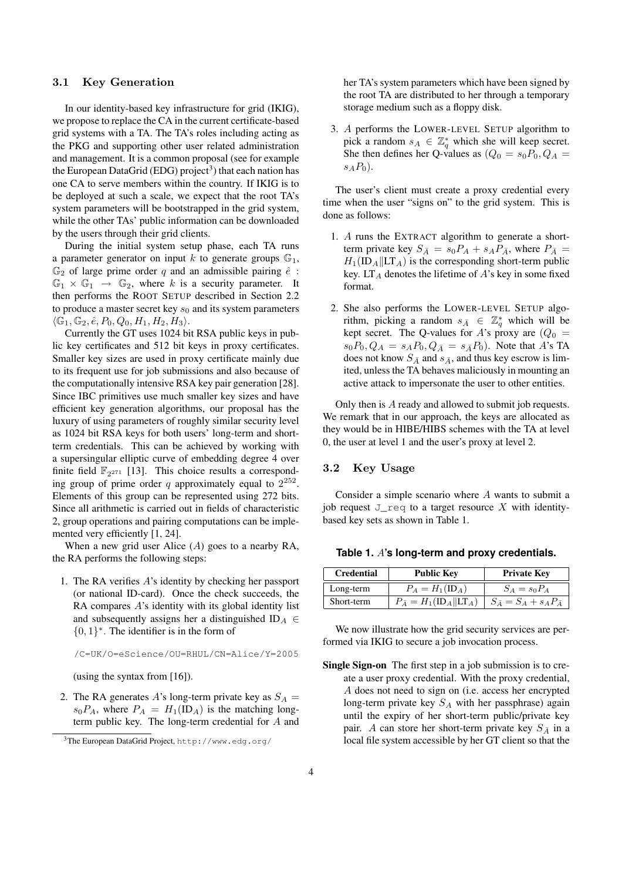#### 3.1 Key Generation

In our identity-based key infrastructure for grid (IKIG), we propose to replace the CA in the current certificate-based grid systems with a TA. The TA's roles including acting as the PKG and supporting other user related administration and management. It is a common proposal (see for example the European DataGrid (EDG) project<sup>3</sup>) that each nation has one CA to serve members within the country. If IKIG is to be deployed at such a scale, we expect that the root TA's system parameters will be bootstrapped in the grid system, while the other TAs' public information can be downloaded by the users through their grid clients.

During the initial system setup phase, each TA runs a parameter generator on input k to generate groups  $\mathbb{G}_1$ ,  $\mathbb{G}_2$  of large prime order q and an admissible pairing  $\hat{e}$ :  $\mathbb{G}_1 \times \mathbb{G}_1 \rightarrow \mathbb{G}_2$ , where k is a security parameter. It then performs the ROOT SETUP described in Section 2.2 to produce a master secret key  $s_0$  and its system parameters  $\langle \mathbb{G}_1, \mathbb{G}_2, \hat{e}, P_0, Q_0, H_1, H_2, H_3 \rangle.$ 

Currently the GT uses 1024 bit RSA public keys in public key certificates and 512 bit keys in proxy certificates. Smaller key sizes are used in proxy certificate mainly due to its frequent use for job submissions and also because of the computationally intensive RSA key pair generation [28]. Since IBC primitives use much smaller key sizes and have efficient key generation algorithms, our proposal has the luxury of using parameters of roughly similar security level as 1024 bit RSA keys for both users' long-term and shortterm credentials. This can be achieved by working with a supersingular elliptic curve of embedding degree 4 over finite field  $\mathbb{F}_{2^{271}}$  [13]. This choice results a corresponding group of prime order q approximately equal to  $2^{252}$ . Elements of this group can be represented using 272 bits. Since all arithmetic is carried out in fields of characteristic 2, group operations and pairing computations can be implemented very efficiently [1, 24].

When a new grid user Alice  $(A)$  goes to a nearby RA, the RA performs the following steps:

1. The RA verifies A's identity by checking her passport (or national ID-card). Once the check succeeds, the RA compares A's identity with its global identity list and subsequently assigns her a distinguished ID<sub>A</sub> ∈  $\{0,1\}^*$ . The identifier is in the form of

```
/C=UK/O=eScience/OU=RHUL/CN=Alice/Y=2005
```
(using the syntax from [16]).

2. The RA generates A's long-term private key as  $S_A$  =  $s_0P_A$ , where  $P_A = H_1(\mathbb{ID}_A)$  is the matching longterm public key. The long-term credential for A and her TA's system parameters which have been signed by the root TA are distributed to her through a temporary storage medium such as a floppy disk.

3. A performs the LOWER-LEVEL SETUP algorithm to pick a random  $s_A \in \mathbb{Z}_q^*$  which she will keep secret. She then defines her Q-values as  $(Q_0 = s_0 P_0, Q_A =$  $s_A P_0$ ).

The user's client must create a proxy credential every time when the user "signs on" to the grid system. This is done as follows:

- 1. A runs the EXTRACT algorithm to generate a shortterm private key  $S_{\bar{A}} = s_0 P_A + s_A P_{\bar{A}}$ , where  $P_{\bar{A}} =$  $H_1(\text{ID}_A||\text{LT}_A)$  is the corresponding short-term public key.  $LT_A$  denotes the lifetime of A's key in some fixed format.
- 2. She also performs the LOWER-LEVEL SETUP algorithm, picking a random  $s_{\bar{A}} \in \mathbb{Z}_q^*$  which will be kept secret. The Q-values for A's proxy are  $(Q_0 =$  $s_0P_0, Q_A = s_A P_0, Q_{\bar{A}} = s_{\bar{A}} P_0$ . Note that A's TA does not know  $S_{\bar{A}}$  and  $s_{\bar{A}}$ , and thus key escrow is limited, unless the TA behaves maliciously in mounting an active attack to impersonate the user to other entities.

Only then is A ready and allowed to submit job requests. We remark that in our approach, the keys are allocated as they would be in HIBE/HIBS schemes with the TA at level 0, the user at level 1 and the user's proxy at level 2.

#### 3.2 Key Usage

Consider a simple scenario where A wants to submit a job request  $J$  req to a target resource X with identitybased key sets as shown in Table 1.

**Table 1.** A**'s long-term and proxy credentials.**

| <b>Credential</b> | <b>Public Key</b>                      | <b>Private Key</b>                    |
|-------------------|----------------------------------------|---------------------------------------|
| Long-term         | $P_A = H_1 (ID_A)$                     | $S_A = s_0 P_A$                       |
| Short-term        | $P_{\bar{A}} = H_1(\text{ID}_A  LT_A)$ | $S_{\bar{A}} = S_A + s_A P_{\bar{A}}$ |

We now illustrate how the grid security services are performed via IKIG to secure a job invocation process.

**Single Sign-on** The first step in a job submission is to create a user proxy credential. With the proxy credential, A does not need to sign on (i.e. access her encrypted long-term private key  $S_A$  with her passphrase) again until the expiry of her short-term public/private key pair. A can store her short-term private key  $S_{\bar{A}}$  in a local file system accessible by her GT client so that the

<sup>&</sup>lt;sup>3</sup>The European DataGrid Project, http://www.edg.org/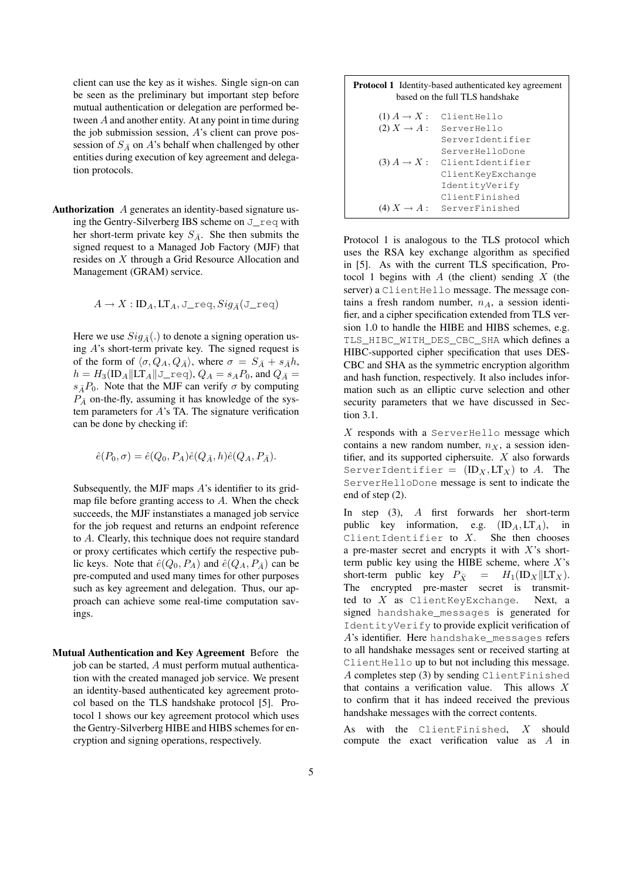client can use the key as it wishes. Single sign-on can be seen as the preliminary but important step before mutual authentication or delegation are performed between A and another entity. At any point in time during the job submission session, A's client can prove possession of  $S_{\bar{A}}$  on A's behalf when challenged by other entities during execution of key agreement and delegation protocols.

**Authorization** A generates an identity-based signature using the Gentry-Silverberg IBS scheme on J\_req with her short-term private key  $S_{\bar{A}}$ . She then submits the signed request to a Managed Job Factory (MJF) that resides on X through a Grid Resource Allocation and Management (GRAM) service.

$$
A \to X: ID_A, LT_A, J\_req, Sig_{\bar{A}}(J\_req)
$$

Here we use  $Sig_{\bar{A}}(.)$  to denote a signing operation using A's short-term private key. The signed request is of the form of  $\langle \sigma, Q_A, Q_{\bar{A}} \rangle$ , where  $\sigma = S_{\bar{A}} + s_{\bar{A}}h$ ,  $h = H_3(\mathbb{D}_A || \mathbb{L} \mathbb{T}_A || \mathbb{J}_\mathbb{L}$ req),  $Q_A = s_A P_0$ , and  $Q_{\bar{A}} =$  $s_{\bar{A}}P_0$ . Note that the MJF can verify  $\sigma$  by computing  $P_{\bar{A}}$  on-the-fly, assuming it has knowledge of the system parameters for A's TA. The signature verification can be done by checking if:

$$
\hat{e}(P_0, \sigma) = \hat{e}(Q_0, P_A)\hat{e}(Q_{\bar{A}}, h)\hat{e}(Q_A, P_{\bar{A}}).
$$

Subsequently, the MJF maps  $A$ 's identifier to its gridmap file before granting access to  $A$ . When the check succeeds, the MJF instanstiates a managed job service for the job request and returns an endpoint reference to A. Clearly, this technique does not require standard or proxy certificates which certify the respective public keys. Note that  $\hat{e}(Q_0, P_A)$  and  $\hat{e}(Q_A, P_{\bar{A}})$  can be pre-computed and used many times for other purposes such as key agreement and delegation. Thus, our approach can achieve some real-time computation savings.

**Mutual Authentication and Key Agreement** Before the job can be started, A must perform mutual authentication with the created managed job service. We present an identity-based authenticated key agreement protocol based on the TLS handshake protocol [5]. Protocol 1 shows our key agreement protocol which uses the Gentry-Silverberg HIBE and HIBS schemes for encryption and signing operations, respectively.

| <b>Protocol 1</b> Identity-based authenticated key agreement<br>based on the full TLS handshake |                                            |  |  |  |
|-------------------------------------------------------------------------------------------------|--------------------------------------------|--|--|--|
| $(1)$ $A \rightarrow X$ :                                                                       | ClientHello                                |  |  |  |
| $(2) X \rightarrow A$ :                                                                         | ServerHello                                |  |  |  |
|                                                                                                 | ServerIdentifier                           |  |  |  |
|                                                                                                 | ServerHelloDone                            |  |  |  |
|                                                                                                 | $(3)$ $A \rightarrow X$ : ClientIdentifier |  |  |  |
|                                                                                                 | ClientKeyExchange                          |  |  |  |
|                                                                                                 | IdentityVerify                             |  |  |  |
|                                                                                                 | ClientFinished                             |  |  |  |
| $(4) X \rightarrow A$ :                                                                         | ServerFinished                             |  |  |  |

Protocol 1 is analogous to the TLS protocol which uses the RSA key exchange algorithm as specified in [5]. As with the current TLS specification, Protocol 1 begins with A (the client) sending X (the server) a ClientHello message. The message contains a fresh random number,  $n_A$ , a session identifier, and a cipher specification extended from TLS version 1.0 to handle the HIBE and HIBS schemes, e.g. TLS HIBC WITH DES CBC SHA which defines a HIBC-supported cipher specification that uses DES-CBC and SHA as the symmetric encryption algorithm and hash function, respectively. It also includes information such as an elliptic curve selection and other security parameters that we have discussed in Section 3.1.

 $X$  responds with a ServerHello message which contains a new random number,  $n_X$ , a session identifier, and its supported ciphersuite.  $X$  also forwards ServerIdentifier =  $(ID_X, LT_X)$  to A. The ServerHelloDone message is sent to indicate the end of step (2).

In step (3), A first forwards her short-term public key information, e.g.  $(ID_A, LT_A),$  in ClientIdentifier to  $X$ . She then chooses a pre-master secret and encrypts it with  $X$ 's shortterm public key using the HIBE scheme, where X's<br>short-term public key  $P_{\bar{X}} = H_1(\text{ID}_X || \text{LT}_X)$ . short-term public key  $P_{\bar{X}}$ The encrypted pre-master secret is transmitted to  $X$  as ClientKeyExchange. Next, a signed handshake\_messages is generated for IdentityVerify to provide explicit verification of A's identifier. Here handshake\_messages refers to all handshake messages sent or received starting at ClientHello up to but not including this message. A completes step (3) by sending ClientFinished that contains a verification value. This allows  $X$ to confirm that it has indeed received the previous handshake messages with the correct contents.

As with the ClientFinished,  $X$  should compute the exact verification value as A in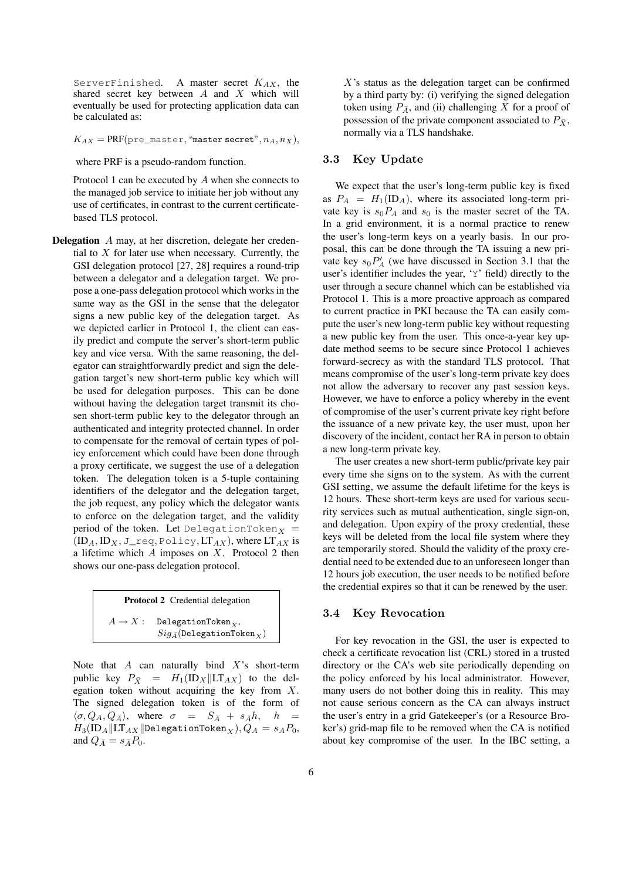ServerFinished. A master secret  $K_{AX}$ , the shared secret key between  $A$  and  $X$  which will eventually be used for protecting application data can be calculated as:

 $K_{AX} = PRF(\text{pre\_master}, \text{``master secret''}, n_A, n_X),$ 

where PRF is a pseudo-random function.

Protocol 1 can be executed by A when she connects to the managed job service to initiate her job without any use of certificates, in contrast to the current certificatebased TLS protocol.

**Delegation** A may, at her discretion, delegate her credential to  $X$  for later use when necessary. Currently, the GSI delegation protocol [27, 28] requires a round-trip between a delegator and a delegation target. We propose a one-pass delegation protocol which works in the same way as the GSI in the sense that the delegator signs a new public key of the delegation target. As we depicted earlier in Protocol 1, the client can easily predict and compute the server's short-term public key and vice versa. With the same reasoning, the delegator can straightforwardly predict and sign the delegation target's new short-term public key which will be used for delegation purposes. This can be done without having the delegation target transmit its chosen short-term public key to the delegator through an authenticated and integrity protected channel. In order to compensate for the removal of certain types of policy enforcement which could have been done through a proxy certificate, we suggest the use of a delegation token. The delegation token is a 5-tuple containing identifiers of the delegator and the delegation target, the job request, any policy which the delegator wants to enforce on the delegation target, and the validity period of the token. Let DelegationToken $_X$  =  $(ID_A, ID_X, J_{\text{reg}}, \text{Policy}, LT_{AX})$ , where  $LT_{AX}$  is a lifetime which  $A$  imposes on  $X$ . Protocol 2 then shows our one-pass delegation protocol.

| <b>Protocol 2</b> Credential delegation |                                                                                                       |  |
|-----------------------------------------|-------------------------------------------------------------------------------------------------------|--|
|                                         | $A \rightarrow X$ : DelegationToken <sub>x</sub> ,<br>$Sig_{\bar{A}}$ (DelegationToken <sub>v</sub> ) |  |

Note that  $A$  can naturally bind  $X$ 's short-term public key  $P_{\bar{X}} = H_1(\text{ID}_X || \text{LT}_{AX})$  to the delegation token without acquiring the key from X. The signed delegation token is of the form of  $\langle \sigma, Q_A, Q_{\bar{A}} \rangle$ , where  $\sigma = S_{\bar{A}} + s_{\bar{A}}h$ ,  $h =$  $H_3(\text{ID}_A||\text{LT}_{AX}||\text{DelegationToken}_X), Q_A = s_A P_0,$ and  $Q_{\bar{A}} = s_{\bar{A}} P_0$ .

 $X$ 's status as the delegation target can be confirmed by a third party by: (i) verifying the signed delegation token using  $P_{\bar{A}}$ , and (ii) challenging X for a proof of possession of the private component associated to  $P_{\bar{x}}$ , normally via a TLS handshake.

## 3.3 Key Update

We expect that the user's long-term public key is fixed as  $P_A = H_1(ID_A)$ , where its associated long-term private key is  $s_0P_A$  and  $s_0$  is the master secret of the TA. In a grid environment, it is a normal practice to renew the user's long-term keys on a yearly basis. In our proposal, this can be done through the TA issuing a new private key  $s_0 P'_A$  (we have discussed in Section 3.1 that the user's identifier includes the year, 'Y' field) directly to the user through a secure channel which can be established via Protocol 1. This is a more proactive approach as compared to current practice in PKI because the TA can easily compute the user's new long-term public key without requesting a new public key from the user. This once-a-year key update method seems to be secure since Protocol 1 achieves forward-secrecy as with the standard TLS protocol. That means compromise of the user's long-term private key does not allow the adversary to recover any past session keys. However, we have to enforce a policy whereby in the event of compromise of the user's current private key right before the issuance of a new private key, the user must, upon her discovery of the incident, contact her RA in person to obtain a new long-term private key.

The user creates a new short-term public/private key pair every time she signs on to the system. As with the current GSI setting, we assume the default lifetime for the keys is 12 hours. These short-term keys are used for various security services such as mutual authentication, single sign-on, and delegation. Upon expiry of the proxy credential, these keys will be deleted from the local file system where they are temporarily stored. Should the validity of the proxy credential need to be extended due to an unforeseen longer than 12 hours job execution, the user needs to be notified before the credential expires so that it can be renewed by the user.

## 3.4 Key Revocation

For key revocation in the GSI, the user is expected to check a certificate revocation list (CRL) stored in a trusted directory or the CA's web site periodically depending on the policy enforced by his local administrator. However, many users do not bother doing this in reality. This may not cause serious concern as the CA can always instruct the user's entry in a grid Gatekeeper's (or a Resource Broker's) grid-map file to be removed when the CA is notified about key compromise of the user. In the IBC setting, a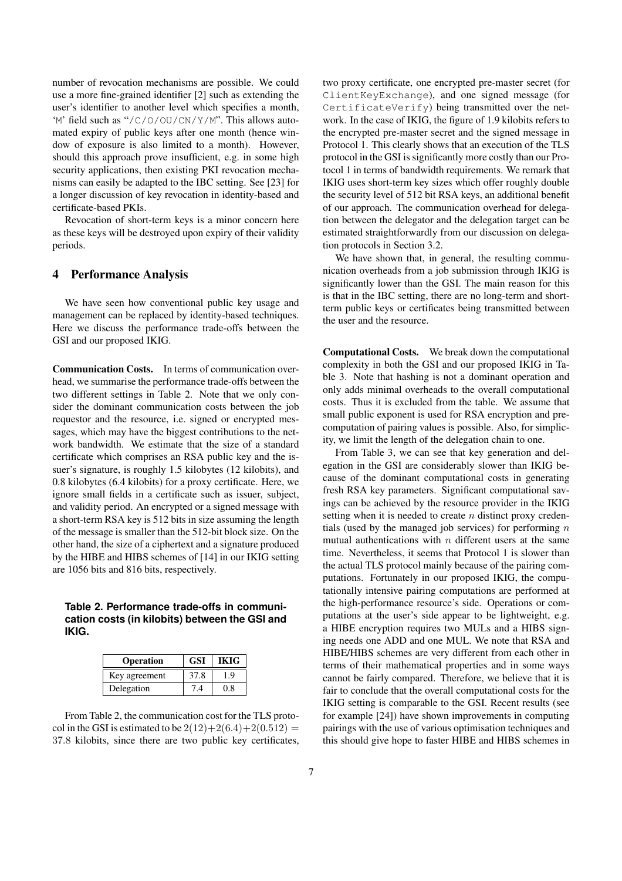number of revocation mechanisms are possible. We could use a more fine-grained identifier [2] such as extending the user's identifier to another level which specifies a month, 'M' field such as "/C/O/OU/CN/Y/M". This allows automated expiry of public keys after one month (hence window of exposure is also limited to a month). However, should this approach prove insufficient, e.g. in some high security applications, then existing PKI revocation mechanisms can easily be adapted to the IBC setting. See [23] for a longer discussion of key revocation in identity-based and certificate-based PKIs.

Revocation of short-term keys is a minor concern here as these keys will be destroyed upon expiry of their validity periods.

#### **4 Performance Analysis**

We have seen how conventional public key usage and management can be replaced by identity-based techniques. Here we discuss the performance trade-offs between the GSI and our proposed IKIG.

**Communication Costs.** In terms of communication overhead, we summarise the performance trade-offs between the two different settings in Table 2. Note that we only consider the dominant communication costs between the job requestor and the resource, i.e. signed or encrypted messages, which may have the biggest contributions to the network bandwidth. We estimate that the size of a standard certificate which comprises an RSA public key and the issuer's signature, is roughly 1.5 kilobytes (12 kilobits), and 0.8 kilobytes (6.4 kilobits) for a proxy certificate. Here, we ignore small fields in a certificate such as issuer, subject, and validity period. An encrypted or a signed message with a short-term RSA key is 512 bits in size assuming the length of the message is smaller than the 512-bit block size. On the other hand, the size of a ciphertext and a signature produced by the HIBE and HIBS schemes of [14] in our IKIG setting are 1056 bits and 816 bits, respectively.

**Table 2. Performance trade-offs in communication costs (in kilobits) between the GSI and IKIG.**

| <b>Operation</b> | <b>GSI</b> | <b>IKIG</b> |
|------------------|------------|-------------|
| Key agreement    | 37.8       | 19)         |
| Delegation       | 74         | 0 X         |

From Table 2, the communication cost for the TLS protocol in the GSI is estimated to be  $2(12)+2(6.4)+2(0.512) =$ 37.8 kilobits, since there are two public key certificates, two proxy certificate, one encrypted pre-master secret (for ClientKeyExchange), and one signed message (for CertificateVerify) being transmitted over the network. In the case of IKIG, the figure of 1.9 kilobits refers to the encrypted pre-master secret and the signed message in Protocol 1. This clearly shows that an execution of the TLS protocol in the GSI issignificantly more costly than our Protocol 1 in terms of bandwidth requirements. We remark that IKIG uses short-term key sizes which offer roughly double the security level of 512 bit RSA keys, an additional benefit of our approach. The communication overhead for delegation between the delegator and the delegation target can be estimated straightforwardly from our discussion on delegation protocols in Section 3.2.

We have shown that, in general, the resulting communication overheads from a job submission through IKIG is significantly lower than the GSI. The main reason for this is that in the IBC setting, there are no long-term and shortterm public keys or certificates being transmitted between the user and the resource.

**Computational Costs.** We break down the computational complexity in both the GSI and our proposed IKIG in Table 3. Note that hashing is not a dominant operation and only adds minimal overheads to the overall computational costs. Thus it is excluded from the table. We assume that small public exponent is used for RSA encryption and precomputation of pairing values is possible. Also, for simplicity, we limit the length of the delegation chain to one.

From Table 3, we can see that key generation and delegation in the GSI are considerably slower than IKIG because of the dominant computational costs in generating fresh RSA key parameters. Significant computational savings can be achieved by the resource provider in the IKIG setting when it is needed to create  $n$  distinct proxy credentials (used by the managed job services) for performing  $n$ mutual authentications with  $n$  different users at the same time. Nevertheless, it seems that Protocol 1 is slower than the actual TLS protocol mainly because of the pairing computations. Fortunately in our proposed IKIG, the computationally intensive pairing computations are performed at the high-performance resource's side. Operations or computations at the user's side appear to be lightweight, e.g. a HIBE encryption requires two MULs and a HIBS signing needs one ADD and one MUL. We note that RSA and HIBE/HIBS schemes are very different from each other in terms of their mathematical properties and in some ways cannot be fairly compared. Therefore, we believe that it is fair to conclude that the overall computational costs for the IKIG setting is comparable to the GSI. Recent results (see for example [24]) have shown improvements in computing pairings with the use of various optimisation techniques and this should give hope to faster HIBE and HIBS schemes in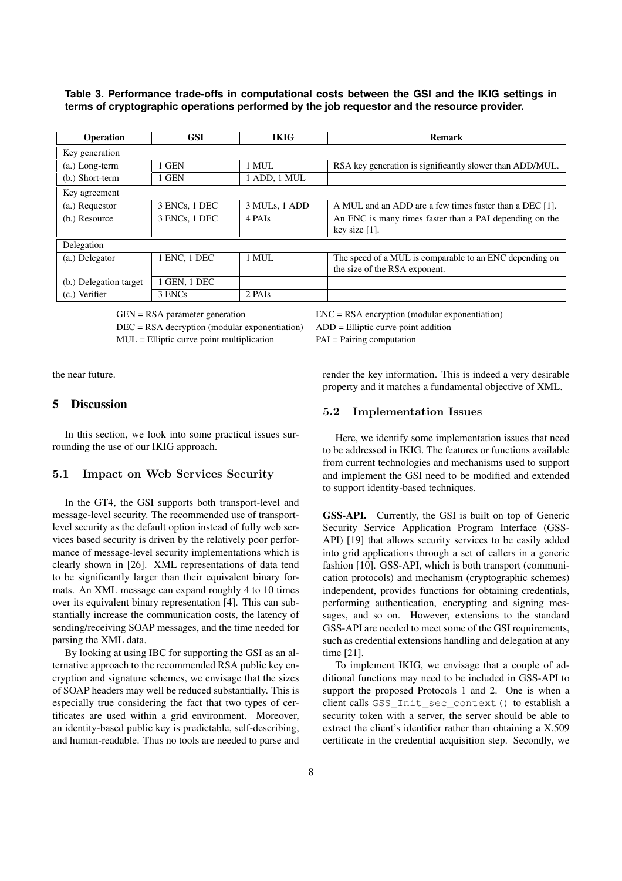## **Table 3. Performance trade-offs in computational costs between the GSI and the IKIG settings in terms of cryptographic operations performed by the job requestor and the resource provider.**

| <b>Operation</b>       | <b>GSI</b>    | <b>IKIG</b>   | <b>Remark</b>                                                               |  |
|------------------------|---------------|---------------|-----------------------------------------------------------------------------|--|
| Key generation         |               |               |                                                                             |  |
| $(a.)$ Long-term       | 1 GEN         | 1 MUL         | RSA key generation is significantly slower than ADD/MUL.                    |  |
| (b.) Short-term        | 1 GEN         | 1 ADD, 1 MUL  |                                                                             |  |
| Key agreement          |               |               |                                                                             |  |
| (a.) Requestor         | 3 ENCs, 1 DEC | 3 MULs, 1 ADD | A MUL and an ADD are a few times faster than a DEC [1].                     |  |
| (b.) Resource          | 3 ENCs, 1 DEC | 4 PAIs        | An ENC is many times faster than a PAI depending on the<br>key size $[1]$ . |  |
|                        |               |               |                                                                             |  |
| Delegation             |               |               |                                                                             |  |
| (a.) Delegator         | 1 ENC, 1 DEC  | $1$ MUL       | The speed of a MUL is comparable to an ENC depending on                     |  |
|                        |               |               | the size of the RSA exponent.                                               |  |
| (b.) Delegation target | 1 GEN, 1 DEC  |               |                                                                             |  |
| (c.) Verifier          | 3 ENCs        | 2 PAIs        |                                                                             |  |

 $DEC = RSA decryption (modular exponentiation)$   $ADD = Elliptic curve point addition$ MUL = Elliptic curve point multiplication PAI = Pairing computation

the near future.

# **5 Discussion**

In this section, we look into some practical issues surrounding the use of our IKIG approach.

### 5.1 Impact on Web Services Security

In the GT4, the GSI supports both transport-level and message-level security. The recommended use of transportlevel security as the default option instead of fully web services based security is driven by the relatively poor performance of message-level security implementations which is clearly shown in [26]. XML representations of data tend to be significantly larger than their equivalent binary formats. An XML message can expand roughly 4 to 10 times over its equivalent binary representation [4]. This can substantially increase the communication costs, the latency of sending/receiving SOAP messages, and the time needed for parsing the XML data.

By looking at using IBC for supporting the GSI as an alternative approach to the recommended RSA public key encryption and signature schemes, we envisage that the sizes of SOAP headers may well be reduced substantially. This is especially true considering the fact that two types of certificates are used within a grid environment. Moreover, an identity-based public key is predictable, self-describing, and human-readable. Thus no tools are needed to parse and

 $GEN = RSA$  parameter generation  $ENC = RSA$  encryption (modular exponentiation)

render the key information. This is indeed a very desirable property and it matches a fundamental objective of XML.

#### 5.2 Implementation Issues

Here, we identify some implementation issues that need to be addressed in IKIG. The features or functions available from current technologies and mechanisms used to support and implement the GSI need to be modified and extended to support identity-based techniques.

**GSS-API.** Currently, the GSI is built on top of Generic Security Service Application Program Interface (GSS-API) [19] that allows security services to be easily added into grid applications through a set of callers in a generic fashion [10]. GSS-API, which is both transport (communication protocols) and mechanism (cryptographic schemes) independent, provides functions for obtaining credentials, performing authentication, encrypting and signing messages, and so on. However, extensions to the standard GSS-API are needed to meet some of the GSI requirements, such as credential extensions handling and delegation at any time [21].

To implement IKIG, we envisage that a couple of additional functions may need to be included in GSS-API to support the proposed Protocols 1 and 2. One is when a client calls GSS\_Init\_sec\_context() to establish a security token with a server, the server should be able to extract the client's identifier rather than obtaining a X.509 certificate in the credential acquisition step. Secondly, we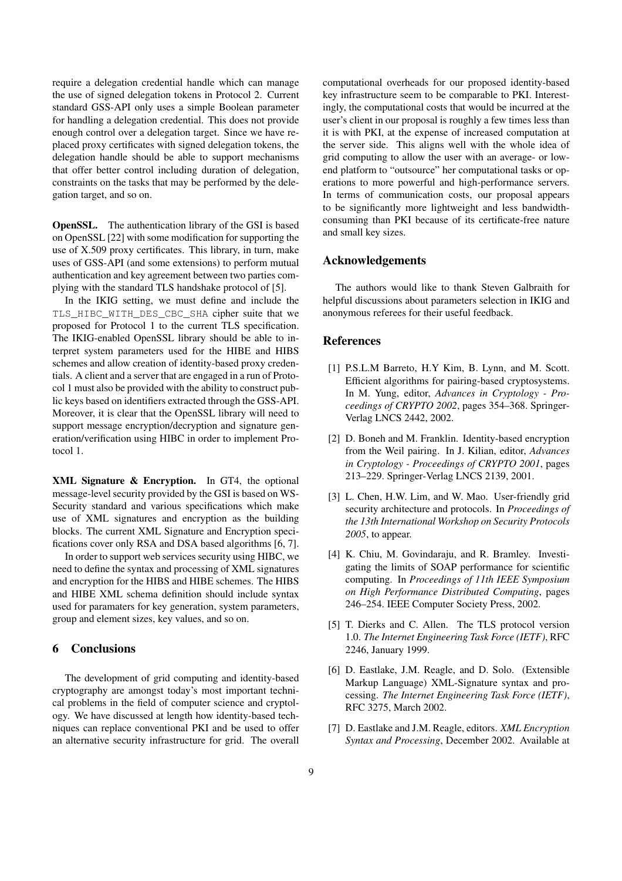require a delegation credential handle which can manage the use of signed delegation tokens in Protocol 2. Current standard GSS-API only uses a simple Boolean parameter for handling a delegation credential. This does not provide enough control over a delegation target. Since we have replaced proxy certificates with signed delegation tokens, the delegation handle should be able to support mechanisms that offer better control including duration of delegation, constraints on the tasks that may be performed by the delegation target, and so on.

**OpenSSL.** The authentication library of the GSI is based on OpenSSL [22] with some modification forsupporting the use of X.509 proxy certificates. This library, in turn, make uses of GSS-API (and some extensions) to perform mutual authentication and key agreement between two parties complying with the standard TLS handshake protocol of [5].

In the IKIG setting, we must define and include the TLS\_HIBC\_WITH\_DES\_CBC\_SHA cipher suite that we proposed for Protocol 1 to the current TLS specification. The IKIG-enabled OpenSSL library should be able to interpret system parameters used for the HIBE and HIBS schemes and allow creation of identity-based proxy credentials. A client and a server that are engaged in a run of Protocol 1 must also be provided with the ability to construct public keys based on identifiers extracted through the GSS-API. Moreover, it is clear that the OpenSSL library will need to support message encryption/decryption and signature generation/verification using HIBC in order to implement Protocol 1.

**XML Signature & Encryption.** In GT4, the optional message-level security provided by the GSI is based on WS-Security standard and various specifications which make use of XML signatures and encryption as the building blocks. The current XML Signature and Encryption specifications cover only RSA and DSA based algorithms [6, 7].

In order to support web services security using HIBC, we need to define the syntax and processing of XML signatures and encryption for the HIBS and HIBE schemes. The HIBS and HIBE XML schema definition should include syntax used for paramaters for key generation, system parameters, group and element sizes, key values, and so on.

## **6 Conclusions**

The development of grid computing and identity-based cryptography are amongst today's most important technical problems in the field of computer science and cryptology. We have discussed at length how identity-based techniques can replace conventional PKI and be used to offer an alternative security infrastructure for grid. The overall computational overheads for our proposed identity-based key infrastructure seem to be comparable to PKI. Interestingly, the computational costs that would be incurred at the user's client in our proposal is roughly a few times less than it is with PKI, at the expense of increased computation at the server side. This aligns well with the whole idea of grid computing to allow the user with an average- or lowend platform to "outsource" her computational tasks or operations to more powerful and high-performance servers. In terms of communication costs, our proposal appears to be significantly more lightweight and less bandwidthconsuming than PKI because of its certificate-free nature and small key sizes.

## **Acknowledgements**

The authors would like to thank Steven Galbraith for helpful discussions about parameters selection in IKIG and anonymous referees for their useful feedback.

## **References**

- [1] P.S.L.M Barreto, H.Y Kim, B. Lynn, and M. Scott. Efficient algorithms for pairing-based cryptosystems. In M. Yung, editor, *Advances in Cryptology - Proceedings of CRYPTO 2002*, pages 354–368. Springer-Verlag LNCS 2442, 2002.
- [2] D. Boneh and M. Franklin. Identity-based encryption from the Weil pairing. In J. Kilian, editor, *Advances in Cryptology - Proceedings of CRYPTO 2001*, pages 213–229. Springer-Verlag LNCS 2139, 2001.
- [3] L. Chen, H.W. Lim, and W. Mao. User-friendly grid security architecture and protocols. In *Proceedings of the 13th International Workshop on Security Protocols 2005*, to appear.
- [4] K. Chiu, M. Govindaraju, and R. Bramley. Investigating the limits of SOAP performance for scientific computing. In *Proceedings of 11th IEEE Symposium on High Performance Distributed Computing*, pages 246–254. IEEE Computer Society Press, 2002.
- [5] T. Dierks and C. Allen. The TLS protocol version 1.0. *The Internet Engineering Task Force (IETF)*, RFC 2246, January 1999.
- [6] D. Eastlake, J.M. Reagle, and D. Solo. (Extensible Markup Language) XML-Signature syntax and processing. *The Internet Engineering Task Force (IETF)*, RFC 3275, March 2002.
- [7] D. Eastlake and J.M. Reagle, editors. *XML Encryption Syntax and Processing*, December 2002. Available at